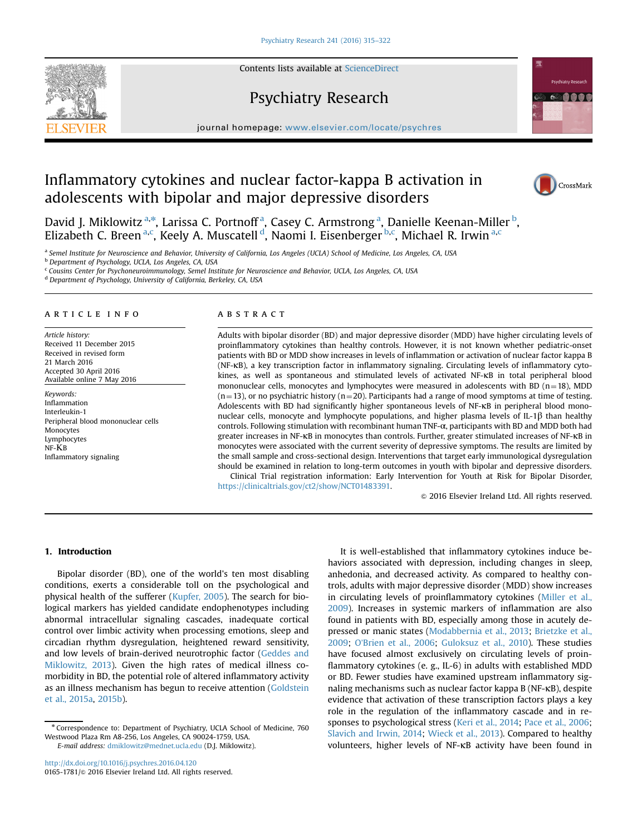Contents lists available at ScienceDirect

# Psychiatry Research

journal homepage: www.elsevier.com/locate/psychrese/psychrese/psychrese/psychrese/psychrese/psychrese/psychrese/psychrese/psychrese/psychrese/psychrese/psychrese/psychrese/psychrese/psychrese/psychrese/psychrese/psychrese

# Inflammatory cytokines and nuclear factor-kappa B activation in adolescents with bipolar and major depressive disorders



.<br>Psychiatry Research **COOOO** 

David J. Miklowitz <sup>a,\*</sup>, Larissa C. Portnoff <sup>a</sup>, Casey C. Armstrong <sup>a</sup>, Danielle Keenan-Miller <sup>b</sup>, Elizabeth C. Breen <sup>a,c</sup>, Keely A. Muscatell <sup>d</sup>, Naomi I. Eisenberger <sup>b,c</sup>, Michael R. Irwin <sup>a,c</sup>

<sup>a</sup> Semel Institute for Neuroscience and Behavior, University of California, Los Angeles (UCLA) School of Medicine, Los Angeles, CA, USA

<sup>b</sup> Department of Psychology, UCLA, Los Angeles, CA, USA

<sup>c</sup> Cousins Center for Psychoneuroimmunology, Semel Institute for Neuroscience and Behavior, UCLA, Los Angeles, CA, USA

<sup>d</sup> Department of Psychology, University of California, Berkeley, CA, USA

## article info

Article history: Received 11 December 2015 Received in revised form 21 March 2016 Accepted 30 April 2016 Available online 7 May 2016

Keywords: Inflammation Interleukin-1 Peripheral blood mononuclear cells Monocytes Lymphocytes  $NF-KB$ Inflammatory signaling

# ABSTRACT

Adults with bipolar disorder (BD) and major depressive disorder (MDD) have higher circulating levels of proinflammatory cytokines than healthy controls. However, it is not known whether pediatric-onset patients with BD or MDD show increases in levels of inflammation or activation of nuclear factor kappa B (NF-κB), a key transcription factor in inflammatory signaling. Circulating levels of inflammatory cytokines, as well as spontaneous and stimulated levels of activated NF-κB in total peripheral blood mononuclear cells, monocytes and lymphocytes were measured in adolescents with BD ( $n=18$ ), MDD  $(n=13)$ , or no psychiatric history (n=20). Participants had a range of mood symptoms at time of testing. Adolescents with BD had significantly higher spontaneous levels of NF-κB in peripheral blood mononuclear cells, monocyte and lymphocyte populations, and higher plasma levels of IL-1β than healthy controls. Following stimulation with recombinant human TNF-α, participants with BD and MDD both had greater increases in NF-κB in monocytes than controls. Further, greater stimulated increases of NF-κB in monocytes were associated with the current severity of depressive symptoms. The results are limited by the small sample and cross-sectional design. Interventions that target early immunological dysregulation should be examined in relation to long-term outcomes in youth with bipolar and depressive disorders.

Clinical Trial registration information: Early Intervention for Youth at Risk for Bipolar Disorder, https://clinicaltrials.gov/ct2/show/NCT01483391.

 $\odot$  2016 Elsevier Ireland Ltd. All rights reserved.

# 1. Introduction

Bipolar disorder (BD), one of the world's ten most disabling conditions, exerts a considerable toll on the psychological and physical health of the sufferer (Kupfer, 2005). The search for biological markers has yielded candidate endophenotypes including abnormal intracellular signaling cascades, inadequate cortical control over limbic activity when processing emotions, sleep and circadian rhythm dysregulation, heightened reward sensitivity, and low levels of brain-derived neurotrophic factor (Geddes and Miklowitz, 2013). Given the high rates of medical illness comorbidity in BD, the potential role of altered inflammatory activity as an illness mechanism has begun to receive attention (Goldstein et al., 2015a, 2015b).

<sup>n</sup> Correspondence to: Department of Psychiatry, UCLA School of Medicine, 760 Westwood Plaza Rm A8-256, Los Angeles, CA 90024-1759, USA. E-mail address: dmiklowitz@mednet.ucla.edu (D.J. Miklowitz).

http://dx.doi.org/10.1016/j.psychres.2016.04.120 0165-1781/© 2016 Elsevier Ireland Ltd. All rights reserved.

It is well-established that inflammatory cytokines induce behaviors associated with depression, including changes in sleep, anhedonia, and decreased activity. As compared to healthy controls, adults with major depressive disorder (MDD) show increases in circulating levels of proinflammatory cytokines (Miller et al., 2009). Increases in systemic markers of inflammation are also found in patients with BD, especially among those in acutely depressed or manic states (Modabbernia et al., 2013; Brietzke et al., 2009; O'Brien et al., 2006; Guloksuz et al., 2010). These studies have focused almost exclusively on circulating levels of proinflammatory cytokines (e. g., IL-6) in adults with established MDD or BD. Fewer studies have examined upstream inflammatory signaling mechanisms such as nuclear factor kappa B (NF-κB), despite evidence that activation of these transcription factors plays a key role in the regulation of the inflammatory cascade and in responses to psychological stress (Keri et al., 2014; Pace et al., 2006; Slavich and Irwin, 2014; Wieck et al., 2013). Compared to healthy volunteers, higher levels of NF-κB activity have been found in

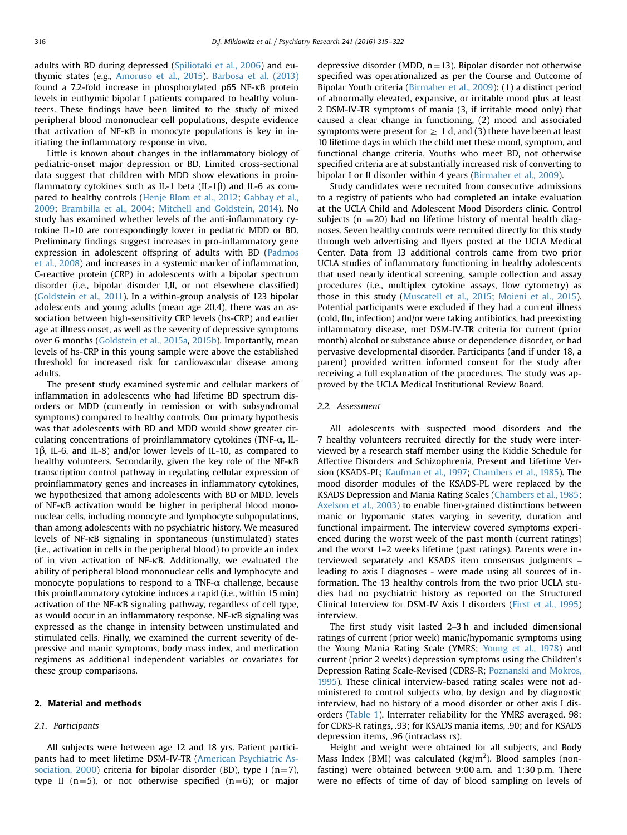adults with BD during depressed (Spiliotaki et al., 2006) and euthymic states (e.g., Amoruso et al., 2015). Barbosa et al. (2013) found a 7.2-fold increase in phosphorylated p65 NF-κB protein levels in euthymic bipolar I patients compared to healthy volunteers. These findings have been limited to the study of mixed peripheral blood mononuclear cell populations, despite evidence that activation of NF-κB in monocyte populations is key in initiating the inflammatory response in vivo.

Little is known about changes in the inflammatory biology of pediatric-onset major depression or BD. Limited cross-sectional data suggest that children with MDD show elevations in proinflammatory cytokines such as IL-1 beta (IL-1β) and IL-6 as compared to healthy controls (Henje Blom et al., 2012; Gabbay et al., 2009; Brambilla et al., 2004; Mitchell and Goldstein, 2014). No study has examined whether levels of the anti-inflammatory cytokine IL-10 are correspondingly lower in pediatric MDD or BD. Preliminary findings suggest increases in pro-inflammatory gene expression in adolescent offspring of adults with BD (Padmos et al., 2008) and increases in a systemic marker of inflammation, C-reactive protein (CRP) in adolescents with a bipolar spectrum disorder (i.e., bipolar disorder I,II, or not elsewhere classified) (Goldstein et al., 2011). In a within-group analysis of 123 bipolar adolescents and young adults (mean age 20.4), there was an association between high-sensitivity CRP levels (hs-CRP) and earlier age at illness onset, as well as the severity of depressive symptoms over 6 months (Goldstein et al., 2015a, 2015b). Importantly, mean levels of hs-CRP in this young sample were above the established threshold for increased risk for cardiovascular disease among adults.

The present study examined systemic and cellular markers of inflammation in adolescents who had lifetime BD spectrum disorders or MDD (currently in remission or with subsyndromal symptoms) compared to healthy controls. Our primary hypothesis was that adolescents with BD and MDD would show greater circulating concentrations of proinflammatory cytokines (TNF-α, IL-1β, IL-6, and IL-8) and/or lower levels of IL-10, as compared to healthy volunteers. Secondarily, given the key role of the NF-κB transcription control pathway in regulating cellular expression of proinflammatory genes and increases in inflammatory cytokines, we hypothesized that among adolescents with BD or MDD, levels of NF-κB activation would be higher in peripheral blood mononuclear cells, including monocyte and lymphocyte subpopulations, than among adolescents with no psychiatric history. We measured levels of NF-κB signaling in spontaneous (unstimulated) states (i.e., activation in cells in the peripheral blood) to provide an index of in vivo activation of NF-κB. Additionally, we evaluated the ability of peripheral blood mononuclear cells and lymphocyte and monocyte populations to respond to a TNF- $\alpha$  challenge, because this proinflammatory cytokine induces a rapid (i.e., within 15 min) activation of the NF-κB signaling pathway, regardless of cell type, as would occur in an inflammatory response. NF-κB signaling was expressed as the change in intensity between unstimulated and stimulated cells. Finally, we examined the current severity of depressive and manic symptoms, body mass index, and medication regimens as additional independent variables or covariates for these group comparisons.

#### 2. Material and methods

#### 2.1. Participants

All subjects were between age 12 and 18 yrs. Patient participants had to meet lifetime DSM-IV-TR (American Psychiatric Association, 2000) criteria for bipolar disorder (BD), type I ( $n=7$ ), type II ( $n=5$ ), or not otherwise specified ( $n=6$ ); or major depressive disorder (MDD,  $n=13$ ). Bipolar disorder not otherwise specified was operationalized as per the Course and Outcome of Bipolar Youth criteria (Birmaher et al., 2009): (1) a distinct period of abnormally elevated, expansive, or irritable mood plus at least 2 DSM-IV-TR symptoms of mania (3, if irritable mood only) that caused a clear change in functioning, (2) mood and associated symptoms were present for  $\geq 1$  d, and (3) there have been at least 10 lifetime days in which the child met these mood, symptom, and functional change criteria. Youths who meet BD, not otherwise specified criteria are at substantially increased risk of converting to bipolar I or II disorder within 4 years (Birmaher et al., 2009).

Study candidates were recruited from consecutive admissions to a registry of patients who had completed an intake evaluation at the UCLA Child and Adolescent Mood Disorders clinic. Control subjects ( $n = 20$ ) had no lifetime history of mental health diagnoses. Seven healthy controls were recruited directly for this study through web advertising and flyers posted at the UCLA Medical Center. Data from 13 additional controls came from two prior UCLA studies of inflammatory functioning in healthy adolescents that used nearly identical screening, sample collection and assay procedures (i.e., multiplex cytokine assays, flow cytometry) as those in this study (Muscatell et al., 2015; Moieni et al., 2015). Potential participants were excluded if they had a current illness (cold, flu, infection) and/or were taking antibiotics, had preexisting inflammatory disease, met DSM-IV-TR criteria for current (prior month) alcohol or substance abuse or dependence disorder, or had pervasive developmental disorder. Participants (and if under 18, a parent) provided written informed consent for the study after receiving a full explanation of the procedures. The study was approved by the UCLA Medical Institutional Review Board.

# 2.2. Assessment

All adolescents with suspected mood disorders and the 7 healthy volunteers recruited directly for the study were interviewed by a research staff member using the Kiddie Schedule for Affective Disorders and Schizophrenia, Present and Lifetime Version (KSADS-PL; Kaufman et al., 1997; Chambers et al., 1985). The mood disorder modules of the KSADS-PL were replaced by the KSADS Depression and Mania Rating Scales (Chambers et al., 1985; Axelson et al., 2003) to enable finer-grained distinctions between manic or hypomanic states varying in severity, duration and functional impairment. The interview covered symptoms experienced during the worst week of the past month (current ratings) and the worst 1–2 weeks lifetime (past ratings). Parents were interviewed separately and KSADS item consensus judgments – leading to axis I diagnoses - were made using all sources of information. The 13 healthy controls from the two prior UCLA studies had no psychiatric history as reported on the Structured Clinical Interview for DSM-IV Axis I disorders (First et al., 1995) interview.

The first study visit lasted 2–3 h and included dimensional ratings of current (prior week) manic/hypomanic symptoms using the Young Mania Rating Scale (YMRS; Young et al., 1978) and current (prior 2 weeks) depression symptoms using the Children's Depression Rating Scale-Revised (CDRS-R; Poznanski and Mokros, 1995). These clinical interview-based rating scales were not administered to control subjects who, by design and by diagnostic interview, had no history of a mood disorder or other axis I disorders (Table 1). Interrater reliability for the YMRS averaged. 98; for CDRS-R ratings, .93; for KSADS mania items, .90; and for KSADS depression items, .96 (intraclass rs).

Height and weight were obtained for all subjects, and Body Mass Index (BMI) was calculated ( $\text{kg/m}^2$ ). Blood samples (nonfasting) were obtained between 9:00 a.m. and 1:30 p.m. There were no effects of time of day of blood sampling on levels of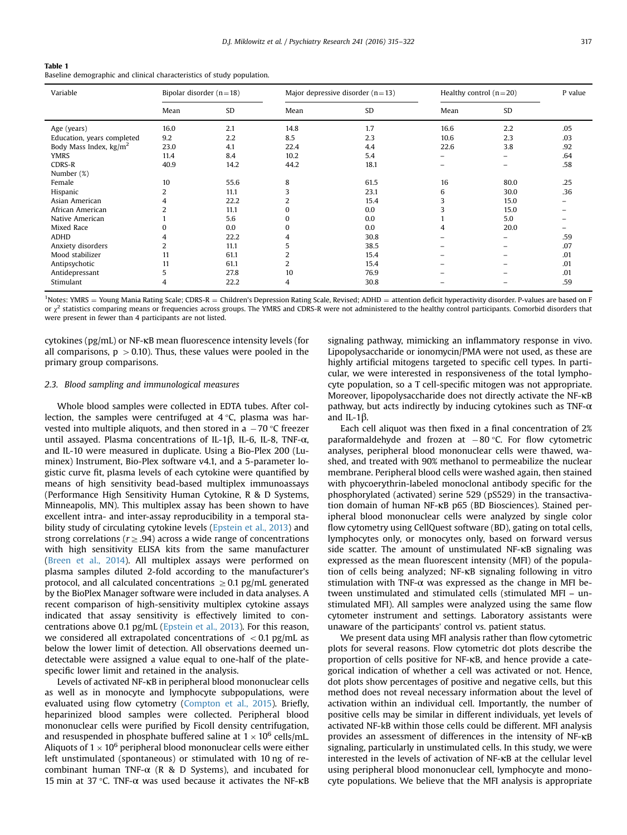| . .<br>. . |  |
|------------|--|
|------------|--|

Baseline demographic and clinical characteristics of study population.

| Variable                         | Bipolar disorder $(n=18)$ |           | Major depressive disorder $(n=13)$ |      | Healthy control $(n=20)$ |      | P value |
|----------------------------------|---------------------------|-----------|------------------------------------|------|--------------------------|------|---------|
|                                  | Mean                      | <b>SD</b> | Mean                               | SD   | Mean                     | SD   |         |
| Age (years)                      | 16.0                      | 2.1       | 14.8                               | 1.7  | 16.6                     | 2.2  | .05     |
| Education, years completed       | 9.2                       | 2.2       | 8.5                                | 2.3  | 10.6                     | 2.3  | .03     |
| Body Mass Index, $\text{kg/m}^2$ | 23.0                      | 4.1       | 22.4                               | 4.4  | 22.6                     | 3.8  | .92     |
| <b>YMRS</b>                      | 11.4                      | 8.4       | 10.2                               | 5.4  | -                        |      | .64     |
| CDRS-R                           | 40.9                      | 14.2      | 44.2                               | 18.1 |                          |      | .58     |
| Number (%)                       |                           |           |                                    |      |                          |      |         |
| Female                           | 10                        | 55.6      | 8                                  | 61.5 | 16                       | 80.0 | .25     |
| Hispanic                         | 2                         | 11.1      | 3                                  | 23.1 | 6                        | 30.0 | .36     |
| Asian American                   | 4                         | 22.2      |                                    | 15.4 | 3                        | 15.0 |         |
| African American                 | 2                         | 11.1      |                                    | 0.0  | 3                        | 15.0 |         |
| Native American                  |                           | 5.6       |                                    | 0.0  |                          | 5.0  |         |
| Mixed Race                       | $\Omega$                  | 0.0       |                                    | 0.0  | 4                        | 20.0 |         |
| ADHD                             | 4                         | 22.2      |                                    | 30.8 |                          |      | .59     |
| Anxiety disorders                | 2                         | 11.1      | 5                                  | 38.5 |                          |      | .07     |
| Mood stabilizer                  | 11                        | 61.1      |                                    | 15.4 | -                        |      | .01     |
| Antipsychotic                    | 11                        | 61.1      |                                    | 15.4 |                          |      | .01     |
| Antidepressant                   | 5                         | 27.8      | 10                                 | 76.9 |                          |      | .01     |
| Stimulant                        | 4                         | 22.2      | 4                                  | 30.8 |                          |      | .59     |

<sup>1</sup>Notes: YMRS = Young Mania Rating Scale; CDRS-R = Children's Depression Rating Scale, Revised; ADHD = attention deficit hyperactivity disorder. P-values are based on F or  $\chi^2$  statistics comparing means or frequencies across groups. The YMRS and CDRS-R were not administered to the healthy control participants. Comorbid disorders that were present in fewer than 4 participants are not listed.

cytokines (pg/mL) or NF-κB mean fluorescence intensity levels (for all comparisons,  $p > 0.10$ ). Thus, these values were pooled in the primary group comparisons.

# 2.3. Blood sampling and immunological measures

Whole blood samples were collected in EDTA tubes. After collection, the samples were centrifuged at  $4^{\circ}$ C, plasma was harvested into multiple aliquots, and then stored in  $a - 70$  °C freezer until assayed. Plasma concentrations of IL-1β, IL-6, IL-8, TNF- $\alpha$ , and IL-10 were measured in duplicate. Using a Bio-Plex 200 (Luminex) Instrument, Bio-Plex software v4.1, and a 5-parameter logistic curve fit, plasma levels of each cytokine were quantified by means of high sensitivity bead-based multiplex immunoassays (Performance High Sensitivity Human Cytokine, R & D Systems, Minneapolis, MN). This multiplex assay has been shown to have excellent intra- and inter-assay reproducibility in a temporal stability study of circulating cytokine levels (Epstein et al., 2013) and strong correlations ( $r \geq .94$ ) across a wide range of concentrations with high sensitivity ELISA kits from the same manufacturer (Breen et al., 2014). All multiplex assays were performed on plasma samples diluted 2-fold according to the manufacturer's protocol, and all calculated concentrations  $\geq$  0.1 pg/mL generated by the BioPlex Manager software were included in data analyses. A recent comparison of high-sensitivity multiplex cytokine assays indicated that assay sensitivity is effectively limited to concentrations above 0.1 pg/mL (Epstein et al., 2013). For this reason, we considered all extrapolated concentrations of  $\langle 0.1 \text{ pg/mL}$  as below the lower limit of detection. All observations deemed undetectable were assigned a value equal to one-half of the platespecific lower limit and retained in the analysis.

Levels of activated NF-κB in peripheral blood mononuclear cells as well as in monocyte and lymphocyte subpopulations, were evaluated using flow cytometry (Compton et al., 2015). Briefly, heparinized blood samples were collected. Peripheral blood mononuclear cells were purified by Ficoll density centrifugation, and resuspended in phosphate buffered saline at  $1 \times 10^6$  cells/mL. Aliquots of  $1 \times 10^6$  peripheral blood mononuclear cells were either left unstimulated (spontaneous) or stimulated with 10 ng of recombinant human TNF- $\alpha$  (R & D Systems), and incubated for 15 min at 37 °C. TNF- $\alpha$  was used because it activates the NF-κB signaling pathway, mimicking an inflammatory response in vivo. Lipopolysaccharide or ionomycin/PMA were not used, as these are highly artificial mitogens targeted to specific cell types. In particular, we were interested in responsiveness of the total lymphocyte population, so a T cell-specific mitogen was not appropriate. Moreover, lipopolysaccharide does not directly activate the NF-κB pathway, but acts indirectly by inducing cytokines such as TNF- $\alpha$ and IL-1β.

Each cell aliquot was then fixed in a final concentration of 2% paraformaldehyde and frozen at  $-80$  °C. For flow cytometric analyses, peripheral blood mononuclear cells were thawed, washed, and treated with 90% methanol to permeabilize the nuclear membrane. Peripheral blood cells were washed again, then stained with phycoerythrin-labeled monoclonal antibody specific for the phosphorylated (activated) serine 529 (pS529) in the transactivation domain of human NF-κB p65 (BD Biosciences). Stained peripheral blood mononuclear cells were analyzed by single color flow cytometry using CellQuest software (BD), gating on total cells, lymphocytes only, or monocytes only, based on forward versus side scatter. The amount of unstimulated NF-κB signaling was expressed as the mean fluorescent intensity (MFI) of the population of cells being analyzed; NF-κB signaling following in vitro stimulation with TNF- $\alpha$  was expressed as the change in MFI between unstimulated and stimulated cells (stimulated MFI – unstimulated MFI). All samples were analyzed using the same flow cytometer instrument and settings. Laboratory assistants were unaware of the participants' control vs. patient status.

We present data using MFI analysis rather than flow cytometric plots for several reasons. Flow cytometric dot plots describe the proportion of cells positive for NF-κB, and hence provide a categorical indication of whether a cell was activated or not. Hence, dot plots show percentages of positive and negative cells, but this method does not reveal necessary information about the level of activation within an individual cell. Importantly, the number of positive cells may be similar in different individuals, yet levels of activated NF-kB within those cells could be different. MFI analysis provides an assessment of differences in the intensity of NF-κB signaling, particularly in unstimulated cells. In this study, we were interested in the levels of activation of NF-κB at the cellular level using peripheral blood mononuclear cell, lymphocyte and monocyte populations. We believe that the MFI analysis is appropriate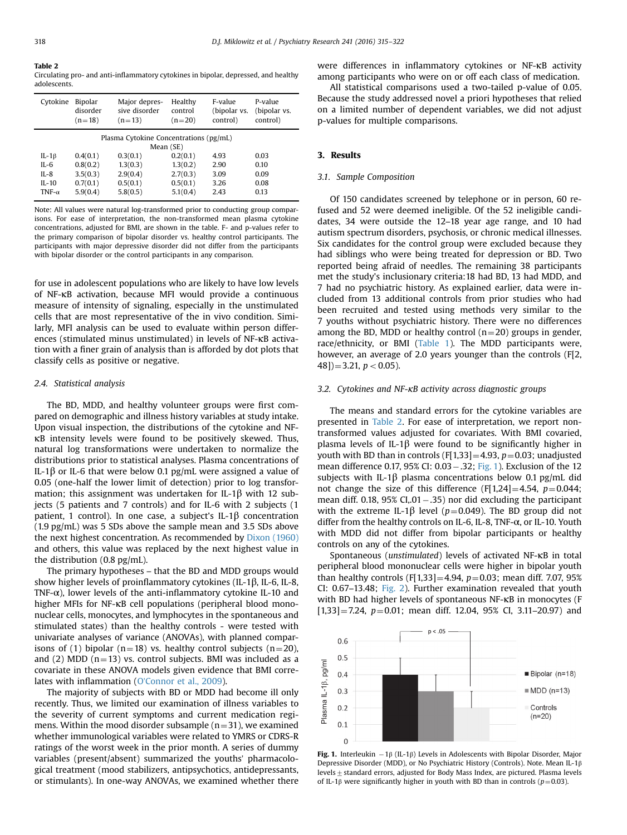Table 2 Circulating pro- and anti-inflammatory cytokines in bipolar, depressed, and healthy adolescents.

| Cytokine                               | <b>Bipolar</b><br>disorder<br>$(n=18)$ | Major depres-<br>sive disorder<br>$(n=13)$ | Healthy<br>control<br>$(n=20)$ | F-value<br>(bipolar vs.<br>control) | P-value<br>(bipolar vs.<br>control) |  |  |
|----------------------------------------|----------------------------------------|--------------------------------------------|--------------------------------|-------------------------------------|-------------------------------------|--|--|
| Plasma Cytokine Concentrations (pg/mL) |                                        |                                            |                                |                                     |                                     |  |  |
| Mean (SE)                              |                                        |                                            |                                |                                     |                                     |  |  |
| IL-1 $\beta$                           | 0.4(0.1)                               | 0.3(0.1)                                   | 0.2(0.1)                       | 4.93                                | 0.03                                |  |  |
| $IL-6$                                 | 0.8(0.2)                               | 1.3(0.3)                                   | 1.3(0.2)                       | 2.90                                | 0.10                                |  |  |
| $IL-8$                                 | 3.5(0.3)                               | 2.9(0.4)                                   | 2.7(0.3)                       | 3.09                                | 0.09                                |  |  |
| $IL-10$                                | 0.7(0.1)                               | 0.5(0.1)                                   | 0.5(0.1)                       | 3.26                                | 0.08                                |  |  |
| TNF- $\alpha$                          | 5.9(0.4)                               | 5.8(0.5)                                   | 5.1(0.4)                       | 2.43                                | 0.13                                |  |  |
|                                        |                                        |                                            |                                |                                     |                                     |  |  |

Note: All values were natural log-transformed prior to conducting group comparisons. For ease of interpretation, the non-transformed mean plasma cytokine concentrations, adjusted for BMI, are shown in the table. F- and p-values refer to the primary comparison of bipolar disorder vs. healthy control participants. The participants with major depressive disorder did not differ from the participants with bipolar disorder or the control participants in any comparison.

for use in adolescent populations who are likely to have low levels of NF-κB activation, because MFI would provide a continuous measure of intensity of signaling, especially in the unstimulated cells that are most representative of the in vivo condition. Similarly, MFI analysis can be used to evaluate within person differences (stimulated minus unstimulated) in levels of NF-κB activation with a finer grain of analysis than is afforded by dot plots that classify cells as positive or negative.

## 2.4. Statistical analysis

The BD, MDD, and healthy volunteer groups were first compared on demographic and illness history variables at study intake. Upon visual inspection, the distributions of the cytokine and NFκB intensity levels were found to be positively skewed. Thus, natural log transformations were undertaken to normalize the distributions prior to statistical analyses. Plasma concentrations of IL-1β or IL-6 that were below 0.1 pg/mL were assigned a value of 0.05 (one-half the lower limit of detection) prior to log transformation; this assignment was undertaken for IL-1 $\beta$  with 12 subjects (5 patients and 7 controls) and for IL-6 with 2 subjects (1 patient, 1 control). In one case, a subject's IL-1 $\beta$  concentration (1.9 pg/mL) was 5 SDs above the sample mean and 3.5 SDs above the next highest concentration. As recommended by Dixon (1960) and others, this value was replaced by the next highest value in the distribution (0.8 pg/mL).

The primary hypotheses – that the BD and MDD groups would show higher levels of proinflammatory cytokines (IL-1β, IL-6, IL-8, TNF- $\alpha$ ), lower levels of the anti-inflammatory cytokine IL-10 and higher MFIs for NF-κB cell populations (peripheral blood mononuclear cells, monocytes, and lymphocytes in the spontaneous and stimulated states) than the healthy controls - were tested with univariate analyses of variance (ANOVAs), with planned comparisons of (1) bipolar (n=18) vs. healthy control subjects (n=20), and (2) MDD ( $n=13$ ) vs. control subjects. BMI was included as a covariate in these ANOVA models given evidence that BMI correlates with inflammation (O'Connor et al., 2009).

The majority of subjects with BD or MDD had become ill only recently. Thus, we limited our examination of illness variables to the severity of current symptoms and current medication regimens. Within the mood disorder subsample  $(n=31)$ , we examined whether immunological variables were related to YMRS or CDRS-R ratings of the worst week in the prior month. A series of dummy variables (present/absent) summarized the youths' pharmacological treatment (mood stabilizers, antipsychotics, antidepressants, or stimulants). In one-way ANOVAs, we examined whether there were differences in inflammatory cytokines or NF-κB activity among participants who were on or off each class of medication.

All statistical comparisons used a two-tailed p-value of 0.05. Because the study addressed novel a priori hypotheses that relied on a limited number of dependent variables, we did not adjust p-values for multiple comparisons.

# 3. Results

# 3.1. Sample Composition

Of 150 candidates screened by telephone or in person, 60 refused and 52 were deemed ineligible. Of the 52 ineligible candidates, 34 were outside the 12–18 year age range, and 10 had autism spectrum disorders, psychosis, or chronic medical illnesses. Six candidates for the control group were excluded because they had siblings who were being treated for depression or BD. Two reported being afraid of needles. The remaining 38 participants met the study's inclusionary criteria:18 had BD, 13 had MDD, and 7 had no psychiatric history. As explained earlier, data were included from 13 additional controls from prior studies who had been recruited and tested using methods very similar to the 7 youths without psychiatric history. There were no differences among the BD, MDD or healthy control  $(n=20)$  groups in gender, race/ethnicity, or BMI (Table 1). The MDD participants were, however, an average of 2.0 years younger than the controls (F[2,  $(48)$ ] = 3.21, p < 0.05).

# 3.2. Cytokines and NF-κB activity across diagnostic groups

The means and standard errors for the cytokine variables are presented in Table 2. For ease of interpretation, we report nontransformed values adjusted for covariates. With BMI covaried, plasma levels of IL-1β were found to be significantly higher in youth with BD than in controls (F[1,33] = 4.93,  $p$  = 0.03; unadjusted mean difference 0.17, 95% CI: 0.03 – .32; Fig. 1). Exclusion of the 12 subjects with IL-1 $\beta$  plasma concentrations below 0.1 pg/mL did not change the size of this difference  $(F[1,24] = 4.54, p = 0.044;$ mean diff. 0.18,  $95\%$  CI, 01 – .35) nor did excluding the participant with the extreme IL-1 $\beta$  level (p=0.049). The BD group did not differ from the healthy controls on IL-6, IL-8, TNF-α, or IL-10. Youth with MDD did not differ from bipolar participants or healthy controls on any of the cytokines.

Spontaneous (unstimulated) levels of activated NF-κB in total peripheral blood mononuclear cells were higher in bipolar youth than healthy controls (F[1,33] = 4.94,  $p=0.03$ ; mean diff. 7.07, 95% CI: 0.67–13.48; Fig. 2). Further examination revealed that youth with BD had higher levels of spontaneous NF-κB in monocytes (F  $[1,33] = 7.24$ ,  $p=0.01$ ; mean diff. 12.04, 95% CI, 3.11–20.97) and



**Fig. 1.** Interleukin  $-1\beta$  (IL-1 $\beta$ ) Levels in Adolescents with Bipolar Disorder, Major Depressive Disorder (MDD), or No Psychiatric History (Controls). Note. Mean IL-1β levels $\pm$  standard errors, adjusted for Body Mass Index, are pictured. Plasma levels of IL-1 $\beta$  were significantly higher in youth with BD than in controls ( $p=0.03$ ).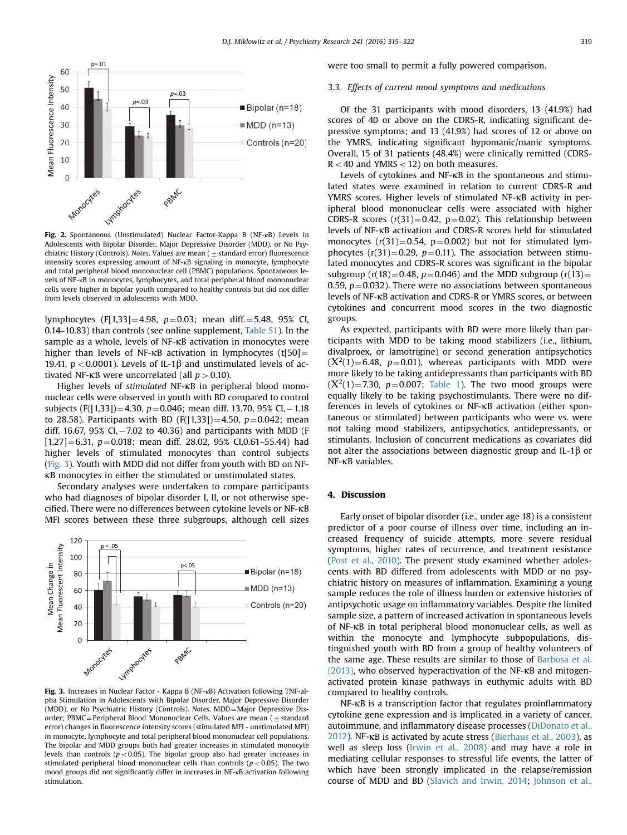

Fig. 2. Spontaneous (Unstimulated) Nuclear Factor-Kappa B (NF-κB) Levels in Adolescents with Bipolar Disorder, Major Depressive Disorder (MDD), or No Psychiatric History (Controls). Notes. Values are mean ( $\pm$  standard error) fluorescence intensity scores expressing amount of NF-κB signaling in monocyte, lymphocyte and total peripheral blood mononuclear cell (PBMC) populations. Spontaneous levels of NF-κB in monocytes, lymphocytes, and total peripheral blood mononuclear cells were higher in bipolar youth compared to healthy controls but did not differ from levels observed in adolescents with MDD.

lymphocytes (F[1,33]=4.98,  $p=0.03$ ; mean diff. = 5.48, 95% CI, 0.14–10.83) than controls (see online supplement, Table S1). In the sample as a whole, levels of NF-κB activation in monocytes were higher than levels of NF- $\kappa$ B activation in lymphocytes (t[50] = 19.41, p < 0.0001). Levels of IL-1 $\beta$  and unstimulated levels of activated NF- $\kappa$ B were uncorrelated (all  $p > 0.10$ ).

Higher levels of stimulated NF-κB in peripheral blood mononuclear cells were observed in youth with BD compared to control subjects (F([1,33])=4.30,  $p=0.046$ ; mean diff. 13.70, 95% CI, -1.18 to 28.58). Participants with BD (F([1,33])=4.50,  $p=0.042$ ; mean diff. 16.67, 95% CI,-7.02 to 40.36) and participants with MDD (F  $[1,27] = 6.31$ ,  $p = 0.018$ ; mean diff. 28.02, 95% CI,0.61–55.44) had higher levels of stimulated monocytes than control subjects (Fig. 3). Youth with MDD did not differ from youth with BD on NFκB monocytes in either the stimulated or unstimulated states.

Secondary analyses were undertaken to compare participants who had diagnoses of bipolar disorder I, II, or not otherwise specified. There were no differences between cytokine levels or NF-κB MFI scores between these three subgroups, although cell sizes



Fig. 3. Increases in Nuclear Factor - Kappa B (NF-κB) Activation following TNF-alpha Stimulation in Adolescents with Bipolar Disorder, Major Depressive Disorder (MDD), or No Psychiatric History (Controls). Notes. MDD=Major Depressive Disorder; PBMC=Peripheral Blood Mononuclear Cells. Values are mean ( $\pm$  standard error) changes in fluorescence intensity scores (stimulated MFI - unstimulated MFI) in monocyte, lymphocyte and total peripheral blood mononuclear cell populations. The bipolar and MDD groups both had greater increases in stimulated monocyte levels than controls ( $p < 0.05$ ). The bipolar group also had greater increases in stimulated peripheral blood mononuclear cells than controls ( $p < 0.05$ ). The two mood groups did not significantly differ in increases in NF-κB activation following stimulation.

were too small to permit a fully powered comparison.

## 3.3. Effects of current mood symptoms and medications

Of the 31 participants with mood disorders, 13 (41.9%) had scores of 40 or above on the CDRS-R, indicating significant depressive symptoms; and 13 (41.9%) had scores of 12 or above on the YMRS, indicating significant hypomanic/manic symptoms. Overall, 15 of 31 patients (48.4%) were clinically remitted (CDRS- $R < 40$  and YMRS  $< 12$ ) on both measures.

Levels of cytokines and NF-κB in the spontaneous and stimulated states were examined in relation to current CDRS-R and YMRS scores. Higher levels of stimulated NF-κB activity in peripheral blood mononuclear cells were associated with higher CDRS-R scores  $(r(31)=0.42, p=0.02)$ . This relationship between levels of NF-κB activation and CDRS-R scores held for stimulated monocytes  $(r(31)=0.54, p=0.002)$  but not for stimulated lymphocytes ( $r(31)=0.29$ ,  $p=0.11$ ). The association between stimulated monocytes and CDRS-R scores was significant in the bipolar subgroup (r(18)=0.48, p=0.046) and the MDD subgroup (r(13)= 0.59,  $p=0.032$ ). There were no associations between spontaneous levels of NF-κB activation and CDRS-R or YMRS scores, or between cytokines and concurrent mood scores in the two diagnostic groups.

As expected, participants with BD were more likely than participants with MDD to be taking mood stabilizers (i.e., lithium, divalproex, or lamotrigine) or second generation antipsychotics  $(X^2(1)=6.48, p=0.01)$ , whereas participants with MDD were more likely to be taking antidepressants than participants with BD  $(X^2(1)=7.30, p=0.007;$  Table 1). The two mood groups were equally likely to be taking psychostimulants. There were no differences in levels of cytokines or NF-κB activation (either spontaneous or stimulated) between participants who were vs. were not taking mood stabilizers, antipsychotics, antidepressants, or stimulants. Inclusion of concurrent medications as covariates did not alter the associations between diagnostic group and IL-1β or NF-κB variables.

#### 4. Discussion

Early onset of bipolar disorder (i.e., under age 18) is a consistent predictor of a poor course of illness over time, including an increased frequency of suicide attempts, more severe residual symptoms, higher rates of recurrence, and treatment resistance (Post et al., 2010). The present study examined whether adolescents with BD differed from adolescents with MDD or no psychiatric history on measures of inflammation. Examining a young sample reduces the role of illness burden or extensive histories of antipsychotic usage on inflammatory variables. Despite the limited sample size, a pattern of increased activation in spontaneous levels of NF-κB in total peripheral blood mononuclear cells, as well as within the monocyte and lymphocyte subpopulations, distinguished youth with BD from a group of healthy volunteers of the same age. These results are similar to those of Barbosa et al. (2013), who observed hyperactivation of the NF-κB and mitogenactivated protein kinase pathways in euthymic adults with BD compared to healthy controls.

NF-κB is a transcription factor that regulates proinflammatory cytokine gene expression and is implicated in a variety of cancer, autoimmune, and inflammatory disease processes (DiDonato et al., 2012). NF-κB is activated by acute stress (Bierhaus et al., 2003), as well as sleep loss (Irwin et al., 2008) and may have a role in mediating cellular responses to stressful life events, the latter of which have been strongly implicated in the relapse/remission course of MDD and BD (Slavich and Irwin, 2014; Johnson et al.,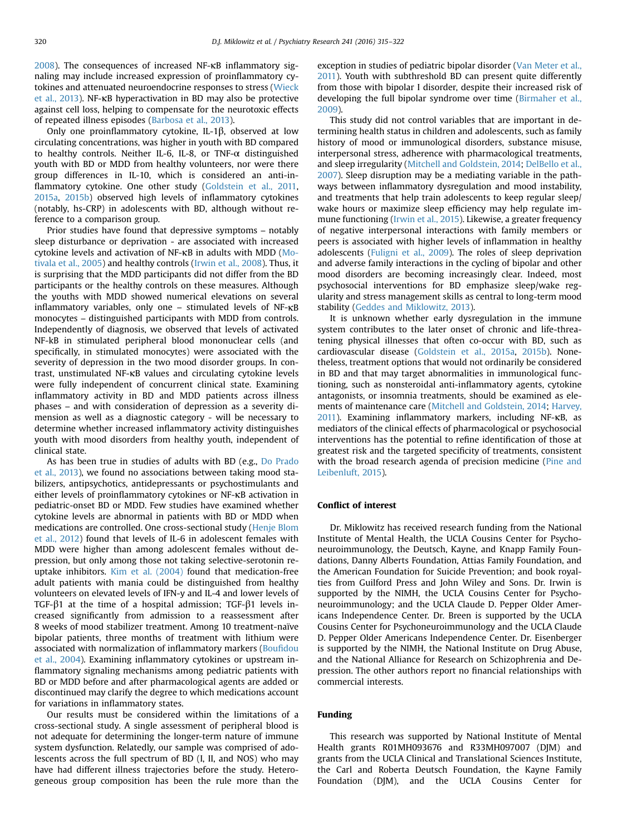2008). The consequences of increased NF-κB inflammatory signaling may include increased expression of proinflammatory cytokines and attenuated neuroendocrine responses to stress (Wieck et al., 2013). NF-κB hyperactivation in BD may also be protective against cell loss, helping to compensate for the neurotoxic effects of repeated illness episodes (Barbosa et al., 2013).

Only one proinflammatory cytokine, IL-1β, observed at low circulating concentrations, was higher in youth with BD compared to healthy controls. Neither IL-6, IL-8, or TNF- $\alpha$  distinguished youth with BD or MDD from healthy volunteers, nor were there group differences in IL-10, which is considered an anti-inflammatory cytokine. One other study (Goldstein et al., 2011, 2015a, 2015b) observed high levels of inflammatory cytokines (notably, hs-CRP) in adolescents with BD, although without reference to a comparison group.

Prior studies have found that depressive symptoms – notably sleep disturbance or deprivation - are associated with increased cytokine levels and activation of NF-κB in adults with MDD (Motivala et al., 2005) and healthy controls (Irwin et al., 2008). Thus, it is surprising that the MDD participants did not differ from the BD participants or the healthy controls on these measures. Although the youths with MDD showed numerical elevations on several inflammatory variables, only one – stimulated levels of NF-κB monocytes – distinguished participants with MDD from controls. Independently of diagnosis, we observed that levels of activated NF-kB in stimulated peripheral blood mononuclear cells (and specifically, in stimulated monocytes) were associated with the severity of depression in the two mood disorder groups. In contrast, unstimulated NF-κB values and circulating cytokine levels were fully independent of concurrent clinical state. Examining inflammatory activity in BD and MDD patients across illness phases – and with consideration of depression as a severity dimension as well as a diagnostic category - will be necessary to determine whether increased inflammatory activity distinguishes youth with mood disorders from healthy youth, independent of clinical state.

As has been true in studies of adults with BD (e.g., Do Prado et al., 2013), we found no associations between taking mood stabilizers, antipsychotics, antidepressants or psychostimulants and either levels of proinflammatory cytokines or NF-κB activation in pediatric-onset BD or MDD. Few studies have examined whether cytokine levels are abnormal in patients with BD or MDD when medications are controlled. One cross-sectional study (Henje Blom et al., 2012) found that levels of IL-6 in adolescent females with MDD were higher than among adolescent females without depression, but only among those not taking selective-serotonin reuptake inhibitors. Kim et al. (2004) found that medication-free adult patients with mania could be distinguished from healthy volunteers on elevated levels of IFN-y and IL-4 and lower levels of TGF-β1 at the time of a hospital admission; TGF-β1 levels increased significantly from admission to a reassessment after 8 weeks of mood stabilizer treatment. Among 10 treatment-naïve bipolar patients, three months of treatment with lithium were associated with normalization of inflammatory markers (Boufidou et al., 2004). Examining inflammatory cytokines or upstream inflammatory signaling mechanisms among pediatric patients with BD or MDD before and after pharmacological agents are added or discontinued may clarify the degree to which medications account for variations in inflammatory states.

Our results must be considered within the limitations of a cross-sectional study. A single assessment of peripheral blood is not adequate for determining the longer-term nature of immune system dysfunction. Relatedly, our sample was comprised of adolescents across the full spectrum of BD (I, II, and NOS) who may have had different illness trajectories before the study. Heterogeneous group composition has been the rule more than the exception in studies of pediatric bipolar disorder (Van Meter et al., 2011). Youth with subthreshold BD can present quite differently from those with bipolar I disorder, despite their increased risk of developing the full bipolar syndrome over time (Birmaher et al., 2009).

This study did not control variables that are important in determining health status in children and adolescents, such as family history of mood or immunological disorders, substance misuse, interpersonal stress, adherence with pharmacological treatments, and sleep irregularity (Mitchell and Goldstein, 2014; DelBello et al., 2007). Sleep disruption may be a mediating variable in the pathways between inflammatory dysregulation and mood instability, and treatments that help train adolescents to keep regular sleep/ wake hours or maximize sleep efficiency may help regulate immune functioning (Irwin et al., 2015). Likewise, a greater frequency of negative interpersonal interactions with family members or peers is associated with higher levels of inflammation in healthy adolescents (Fuligni et al., 2009). The roles of sleep deprivation and adverse family interactions in the cycling of bipolar and other mood disorders are becoming increasingly clear. Indeed, most psychosocial interventions for BD emphasize sleep/wake regularity and stress management skills as central to long-term mood stability (Geddes and Miklowitz, 2013).

It is unknown whether early dysregulation in the immune system contributes to the later onset of chronic and life-threatening physical illnesses that often co-occur with BD, such as cardiovascular disease (Goldstein et al., 2015a, 2015b). Nonetheless, treatment options that would not ordinarily be considered in BD and that may target abnormalities in immunological functioning, such as nonsteroidal anti-inflammatory agents, cytokine antagonists, or insomnia treatments, should be examined as elements of maintenance care (Mitchell and Goldstein, 2014; Harvey, 2011). Examining inflammatory markers, including NF-κB, as mediators of the clinical effects of pharmacological or psychosocial interventions has the potential to refine identification of those at greatest risk and the targeted specificity of treatments, consistent with the broad research agenda of precision medicine (Pine and Leibenluft, 2015).

#### Conflict of interest

Dr. Miklowitz has received research funding from the National Institute of Mental Health, the UCLA Cousins Center for Psychoneuroimmunology, the Deutsch, Kayne, and Knapp Family Foundations, Danny Alberts Foundation, Attias Family Foundation, and the American Foundation for Suicide Prevention; and book royalties from Guilford Press and John Wiley and Sons. Dr. Irwin is supported by the NIMH, the UCLA Cousins Center for Psychoneuroimmunology; and the UCLA Claude D. Pepper Older Americans Independence Center. Dr. Breen is supported by the UCLA Cousins Center for Psychoneuroimmunology and the UCLA Claude D. Pepper Older Americans Independence Center. Dr. Eisenberger is supported by the NIMH, the National Institute on Drug Abuse, and the National Alliance for Research on Schizophrenia and Depression. The other authors report no financial relationships with commercial interests.

# Funding

This research was supported by National Institute of Mental Health grants R01MH093676 and R33MH097007 (DJM) and grants from the UCLA Clinical and Translational Sciences Institute, the Carl and Roberta Deutsch Foundation, the Kayne Family Foundation (DJM), and the UCLA Cousins Center for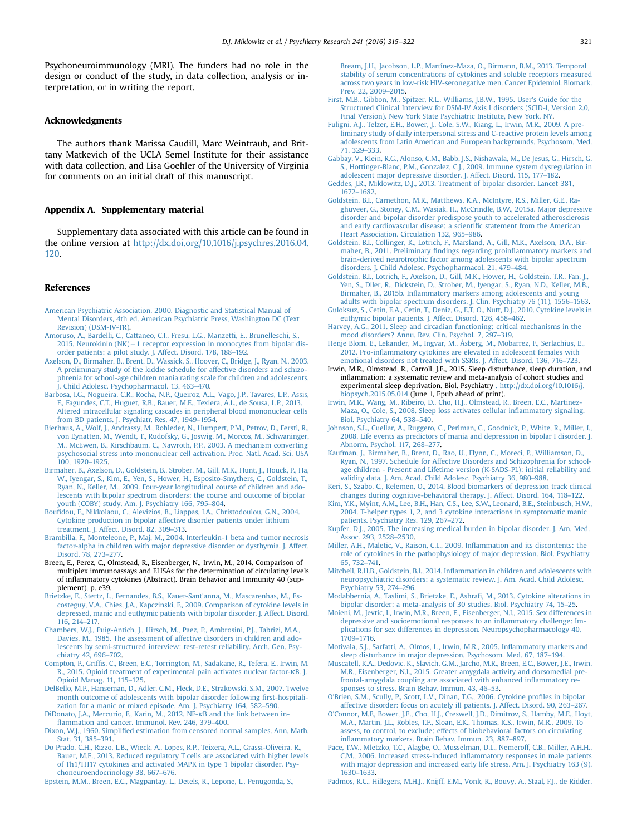Psychoneuroimmunology (MRI). The funders had no role in the design or conduct of the study, in data collection, analysis or interpretation, or in writing the report.

#### Acknowledgments

The authors thank Marissa Caudill, Marc Weintraub, and Brittany Matkevich of the UCLA Semel Institute for their assistance with data collection, and Lisa Goehler of the University of Virginia for comments on an initial draft of this manuscript.

#### Appendix A. Supplementary material

Supplementary data associated with this article can be found in the online version at http://dx.doi.org/10.1016/j.psychres.2016.04. 120.

## References

- American Psychiatric Association, 2000. Diagnostic and Statistical Manual of Mental Disorders, 4th ed. American Psychiatric Press, Washington DC (Text Revision) (DSM-IV-TR).
- Amoruso, A., Bardelli, C., Cattaneo, C.I., Fresu, L.G., Manzetti, E., Brunelleschi, S., 2015. Neurokinin (NK)-1 receptor expression in monocytes from bipolar disorder patients: a pilot study. J. Affect. Disord. 178, 188–192.
- Axelson, D., Birmaher, B., Brent, D., Wassick, S., Hoover, C., Bridge, J., Ryan, N., 2003. A preliminary study of the kiddie schedule for affective disorders and schizophrenia for school-age children mania rating scale for children and adolescents. J. Child Adolesc. Psychopharmacol. 13, 463–470.
- Barbosa, I.G., Nogueira, C.R., Rocha, N.P., Queiroz, A.L., Vago, J.P., Tavares, L.P., Assis, F., Fagundes, C.T., Huguet, R.B., Bauer, M.E., Texiera, A.L., de Sousa, L.P., 2013. Altered intracellular signaling cascades in peripheral blood mononuclear cells from BD patients. J. Psychiatr. Res. 47, 1949–1954.
- Bierhaus, A., Wolf, J., Andrassy, M., Rohleder, N., Humpert, P.M., Petrov, D., Ferstl, R., von Eynatten, M., Wendt, T., Rudofsky, G., Joswig, M., Morcos, M., Schwaninger, M., McEwen, B., Kirschbaum, C., Nawroth, P.P., 2003. A mechanism converting psychosocial stress into mononuclear cell activation. Proc. Natl. Acad. Sci. USA 100, 1920–1925.
- Birmaher, B., Axelson, D., Goldstein, B., Strober, M., Gill, M.K., Hunt, J., Houck, P., Ha, W., Iyengar, S., Kim, E., Yen, S., Hower, H., Esposito-Smythers, C., Goldstein, T., Ryan, N., Keller, M., 2009. Four-year longitudinal course of children and adolescents with bipolar spectrum disorders: the course and outcome of bipolar youth (COBY) study. Am. J. Psychiatry 166, 795–804.
- Boufidou, F., Nikkolaou, C., Alevizios, B., Liappas, I.A., Christodoulou, G.N., 2004. Cytokine production in bipolar affective disorder patients under lithium treatment. J. Affect. Disord. 82, 309–313.
- Brambilla, F., Monteleone, P., Maj, M., 2004. Interleukin-1 beta and tumor necrosis factor-alpha in children with major depressive disorder or dysthymia. J. Affect. Disord. 78, 273–277.
- Breen, E., Perez, C., Olmstead, R., Eisenberger, N., Irwin, M., 2014. Comparison of multiplex immunoassays and ELISAs for the determination of circulating levels of inflammatory cytokines (Abstract). Brain Behavior and Immunity 40 (supplement), p. e39.
- Brietzke, E., Stertz, L., Fernandes, B.S., Kauer-Sant'anna, M., Mascarenhas, M., Es-costeguy, V.A., Chies, J.A., Kapczinski, F., 2009. Comparison of cytokine levels in depressed, manic and euthymic patients with bipolar disorder. J. Affect. Disord. 116, 214–217.
- Chambers, W.J., Puig-Antich, J., Hirsch, M., Paez, P., Ambrosini, P.J., Tabrizi, M.A., Davies, M., 1985. The assessment of affective disorders in children and adolescents by semi-structured interview: test-retest reliability. Arch. Gen. Psychiatry 42, 696–702.
- Compton, P., Griffis, C., Breen, E.C., Torrington, M., Sadakane, R., Tefera, E., Irwin, M. R., 2015. Opioid treatment of experimental pain activates nuclear factor-κB. J. Opioid Manag. 11, 115–125.
- DelBello, M.P., Hanseman, D., Adler, C.M., Fleck, D.E., Strakowski, S.M., 2007. Twelve month outcome of adolescents with bipolar disorder following first-hospitalization for a manic or mixed episode. Am. J. Psychiatry 164, 582–590.
- DiDonato, J.A., Mercurio, F., Karin, M., 2012. NF-κB and the link between inflammation and cancer. Immunol. Rev. 246, 379–400.
- Dixon, W.J., 1960. Simplified estimation from censored normal samples. Ann. Math. Stat. 31, 385–391.
- Do Prado, C.H., Rizzo, L.B., Wieck, A., Lopes, R.P., Teixera, A.L., Grassi-Oliveira, R., Bauer, M.E., 2013. Reduced regulatory T cells are associated with higher levels of Th1/TH17 cytokines and activated MAPK in type 1 bipolar disorder. Psychoneuroendocrinology 38, 667–676.
- Epstein, M.M., Breen, E.C., Magpantay, L., Detels, R., Lepone, L., Penugonda, S.,

Bream, J.H., Jacobson, L.P., Martínez-Maza, O., Birmann, B.M., 2013. Temporal stability of serum concentrations of cytokines and soluble receptors measured across two years in low-risk HIV-seronegative men. Cancer Epidemiol. Biomark. Prev. 22, 2009–2015.

- First, M.B., Gibbon, M., Spitzer, R.L., Williams, J.B.W., 1995. User's Guide for the Structured Clinical Interview for DSM-IV Axis I disorders (SCID-I, Version 2.0, Final Version). New York State Psychiatric Institute, New York, NY.
- Fuligni, A.J., Telzer, E.H., Bower, J., Cole, S.W., Kiang, L., Irwin, M.R., 2009. A preliminary study of daily interpersonal stress and C-reactive protein levels among adolescents from Latin American and European backgrounds. Psychosom. Med. 71, 329–333.
- Gabbay, V., Klein, R.G., Alonso, C.M., Babb, J.S., Nishawala, M., De Jesus, G., Hirsch, G. S., Hottinger-Blanc, P.M., Gonzalez, C.J., 2009. Immune system dysregulation in adolescent major depressive disorder. J. Affect. Disord. 115, 177–182.
- Geddes, J.R., Miklowitz, D.J., 2013. Treatment of bipolar disorder. Lancet 381, 1672–1682.
- Goldstein, B.I., Carnethon, M.R., Matthews, K.A., McIntyre, R.S., Miller, G.E., Raghuveer, G., Stoney, C.M., Wasiak, H., McCrindle, B.W., 2015a. Major depressive disorder and bipolar disorder predispose youth to accelerated atherosclerosis and early cardiovascular disease: a scientific statement from the American Heart Association. Circulation 132, 965–986.
- Goldstein, B.I., Collinger, K., Lotrich, F., Marsland, A., Gill, M.K., Axelson, D.A., Birmaher, B., 2011. Preliminary findings regarding proinflammatory markers and brain-derived neurotrophic factor among adolescents with bipolar spectrum disorders. J. Child Adolesc. Psychopharmacol. 21, 479–484.
- Goldstein, B.I., Lotrich, F., Axelson, D., Gill, M.K., Hower, H., Goldstein, T.R., Fan, J., Yen, S., Diler, R., Dickstein, D., Strober, M., Iyengar, S., Ryan, N.D., Keller, M.B., Birmaher, B., 2015b. Inflammatory markers among adolescents and young
- adults with bipolar spectrum disorders. J. Clin. Psychiatry 76 (11), 1556–1563. Guloksuz, S., Cetin, E.A., Cetin, T., Deniz, G., E.T, O., Nutt, D.J., 2010. Cytokine levels in euthymic bipolar patients. J. Affect. Disord. 126, 458–462.
- Harvey, A.G., 2011. Sleep and circadian functioning: critical mechanisms in the mood disorders? Annu. Rev. Clin. Psychol. 7, 297–319.
- Henje Blom, E., Lekander, M., Ingvar, M., Åsberg, M., Mobarrez, F., Serlachius, E., 2012. Pro-inflammatory cytokines are elevated in adolescent females with emotional disorders not treated with SSRIs. J. Affect. Disord. 136, 716–723.
- Irwin, M.R., Olmstead, R., Carroll, J.E., 2015. Sleep disturbance, sleep duration, and inflammation: a systematic review and meta-analysis of cohort studies and experimental sleep deprivation. Biol. Psychiatry . http://dx.doi.org/10.1016/j. biopsych.2015.05.014 (June 1, Epub ahead of print).
- Irwin, M.R., Wang, M., Ribeiro, D., Cho, H.J., Olmstead, R., Breen, E.C., Martinez-Maza, O., Cole, S., 2008. Sleep loss activates cellular inflammatory signaling. Biol. Psychiatry 64, 538–540.
- Johnson, S.L., Cuellar, A., Ruggero, C., Perlman, C., Goodnick, P., White, R., Miller, I., 2008. Life events as predictors of mania and depression in bipolar I disorder. J. Abnorm. Psychol. 117, 268–277.
- Kaufman, J., Birmaher, B., Brent, D., Rao, U., Flynn, C., Moreci, P., Williamson, D., Ryan, N., 1997. Schedule for Affective Disorders and Schizophrenia for schoolage children - Present and Lifetime version (K-SADS-PL): initial reliability and validity data. J. Am. Acad. Child Adolesc. Psychiatry 36, 980–988.
- Keri, S., Szabo, C., Kelemen, O., 2014. Blood biomarkers of depression track clinical changes during cognitive-behavioral therapy. J. Affect. Disord. 164, 118–122.
- Kim, Y.K., Myint, A.M., Lee, B.H., Han, C.S., Lee, S.W., Leonard, B.E., Steinbusch, H.W., 2004. T-helper types 1, 2, and 3 cytokine interactions in symptomatic manic patients. Psychiatry Res. 129, 267–272.
- Kupfer, D.J., 2005. The increasing medical burden in bipolar disorder. J. Am. Med. Assoc. 293, 2528–2530.
- Miller, A.H., Maletic, V., Raison, C.L., 2009. Inflammation and its discontents: the role of cytokines in the pathophysiology of major depression. Biol. Psychiatry 65, 732–741.
- Mitchell, R.H.B., Goldstein, B.I., 2014. Inflammation in children and adolescents with neuropsychiatric disorders: a systematic review. J. Am. Acad. Child Adolesc. Psychiatry 53, 274–296.
- Modabbernia, A., Taslimi, S., Brietzke, E., Ashrafi, M., 2013. Cytokine alterations in bipolar disorder: a meta-analysis of 30 studies. Biol. Psychiatry 74, 15–25.
- Moieni, M., Jevtic, I., Irwin, M.R., Breen, E., Eisenberger, N.I., 2015. Sex differences in depressive and socioemotional responses to an inflammatory challenge: Implications for sex differences in depression. Neuropsychopharmacology 40, 1709–1716.
- Motivala, S.J., Sarfatti, A., Olmos, L., Irwin, M.R., 2005. Inflammatory markers and sleep disturbance in major depression. Psychosom. Med. 67, 187–194.
- Muscatell, K.A., Dedovic, K., Slavich, G.M., Jarcho, M.R., Breen, E.C., Bower, J.E., Irwin, M.R., Eisenberger, N.I., 2015. Greater amygdala activity and dorsomedial prefrontal-amygdala coupling are associated with enhanced inflammatory responses to stress. Brain Behav. Immun. 43, 46–53.
- O'Brien, S.M., Scully, P., Scott, L.V., Dinan, T.G., 2006. Cytokine profiles in bipolar affective disorder: focus on acutely ill patients. J. Affect. Disord. 90, 263–267.
- O'Connor, M.F., Bower, J.E., Cho, H.J., Creswell, J.D., Dimitrov, S., Hamby, M.E., Hoyt, M.A., Martin, J.L., Robles, T.F., Sloan, E.K., Thomas, K.S., Irwin, M.R., 2009. To assess, to control, to exclude: effects of biobehavioral factors on circulating inflammatory markers. Brain Behav. Immun. 23, 887–897.
- Pace, T.W., Mletzko, T.C., Alagbe, O., Musselman, D.L., Nemeroff, C.B., Miller, A.H.H., C.M., 2006. Increased stress-induced inflammatory responses in male patients with major depression and increased early life stress. Am. J. Psychiatry 163 (9), 1630–1633.
- Padmos, R.C., Hillegers, M.H.J., Knijff, E.M., Vonk, R., Bouvy, A., Staal, F.J., de Ridder,